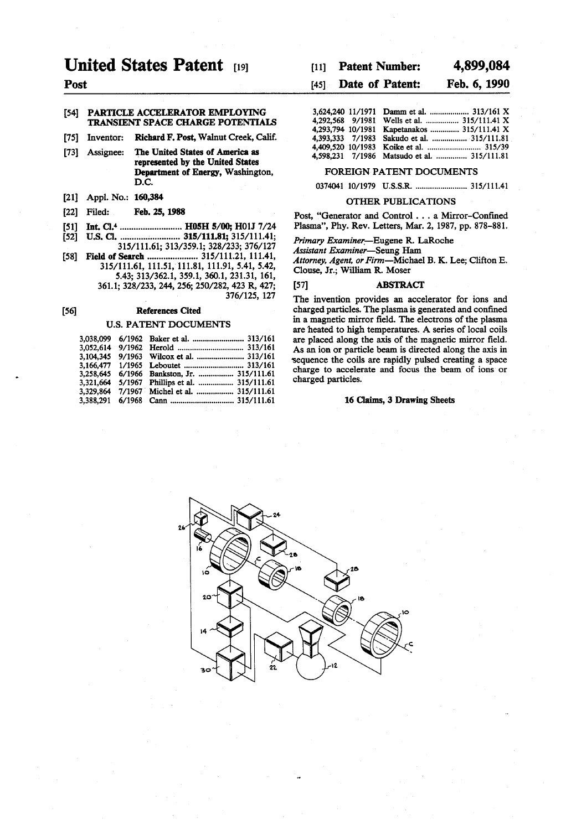# **United States Patent** 1191

## Post

### [54] PARTICLE ACCELERATOR EMPLOYING TRANSIENT SPACE CHARGE POTENTIALS

- Richard F. Post, Walnut Creek, Calif. [75] Inventor:
- [73] Assignee: The United States of America as represented by the United States Department of Energy, Washington. D.C.
- [21] Appl. No.: 160,384
- [22] Filed: Feb. 25, 1988
- Int. Cl.<sup>4</sup> ........................... H05H 5/00; H01J 7/24  $[51]$
- [52] 315/111.61; 313/359.1; 328/233; 376/127
- [58] Field of Search .......................... 315/111.21, 111.41, 315/111.61, 111.51, 111.81, 111.91, 5.41, 5.42, 5.43; 313/362.1, 359.1, 360.1, 231.31, 161, 361.1; 328/233, 244, 256; 250/282, 423 R, 427;

376/125, 127

#### **References Cited**  $[56]$

### **U.S. PATENT DOCUMENTS**

|  | 3,038,099 6/1962 Baker et al.  313/161       |
|--|----------------------------------------------|
|  |                                              |
|  | 3,104,345 9/1963 Wilcox et al.  313/161      |
|  |                                              |
|  | 3,258,645 6/1966 Bankston, Jr.  315/111.61   |
|  | 3,321,664 5/1967 Phillips et al.  315/111.61 |
|  | 3,329,864 7/1967 Michel et al.  315/111.61   |
|  |                                              |
|  |                                              |

#### 4,899,084 **Patent Number:**  $[11]$

#### Date of Patent: Feb. 6, 1990  $[45]$

|  | 3,624,240 11/1971 Damm et al.  313/161 X    |  |
|--|---------------------------------------------|--|
|  | 4,292,568 9/1981 Wells et al.  315/111.41 X |  |
|  | 4,293,794 10/1981 Kapetanakos  315/111.41 X |  |
|  | 4,393,333 7/1983 Sakudo et al.  315/111.81  |  |
|  |                                             |  |
|  | 1598 231 7/1986 Matsudo et al 315/111 81    |  |

#### FOREIGN PATENT DOCUMENTS

0374041 10/1979 U.S.S.R. ......................... 315/111.41

### **OTHER PUBLICATIONS**

Post, "Generator and Control . . . a Mirror-Confined Plasma", Phy. Rev. Letters, Mar. 2, 1987, pp. 878-881.

Primary Examiner-Eugene R. LaRoche

Assistant Examiner-Seung Ham

Attorney, Agent, or Firm-Michael B. K. Lee; Clifton E. Clouse, Jr.; William R. Moser

#### **ABSTRACT**  $[57]$

The invention provides an accelerator for ions and charged particles. The plasma is generated and confined in a magnetic mirror field. The electrons of the plasma are heated to high temperatures. A series of local coils are placed along the axis of the magnetic mirror field. As an ion or particle beam is directed along the axis in sequence the coils are rapidly pulsed creating a space charge to accelerate and focus the beam of ions or charged particles.

#### 16 Claims, 3 Drawing Sheets

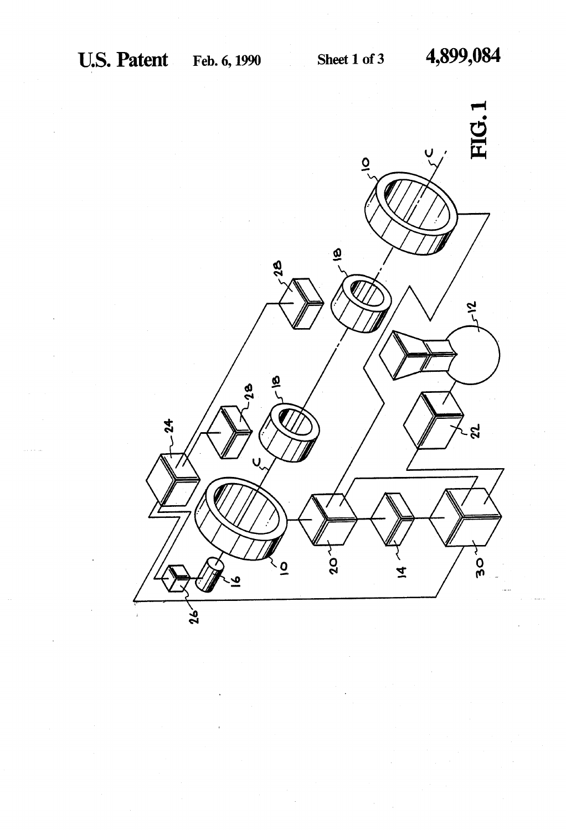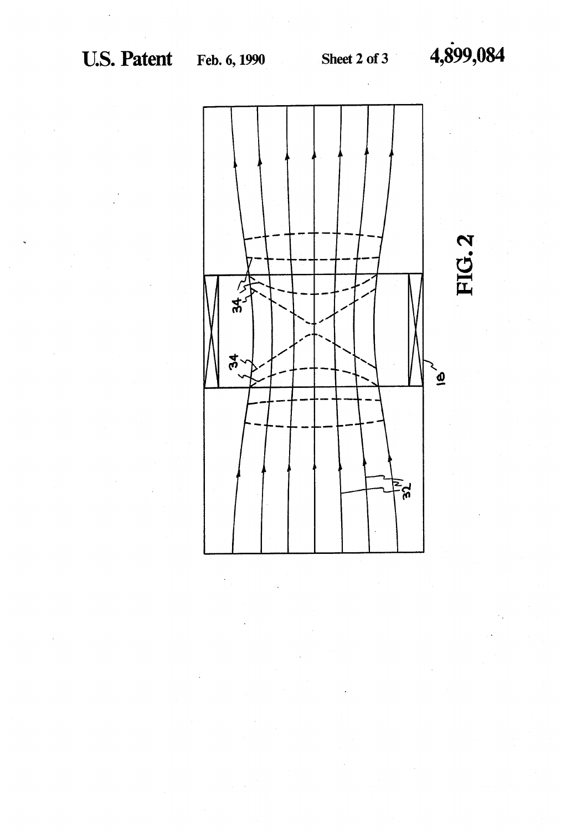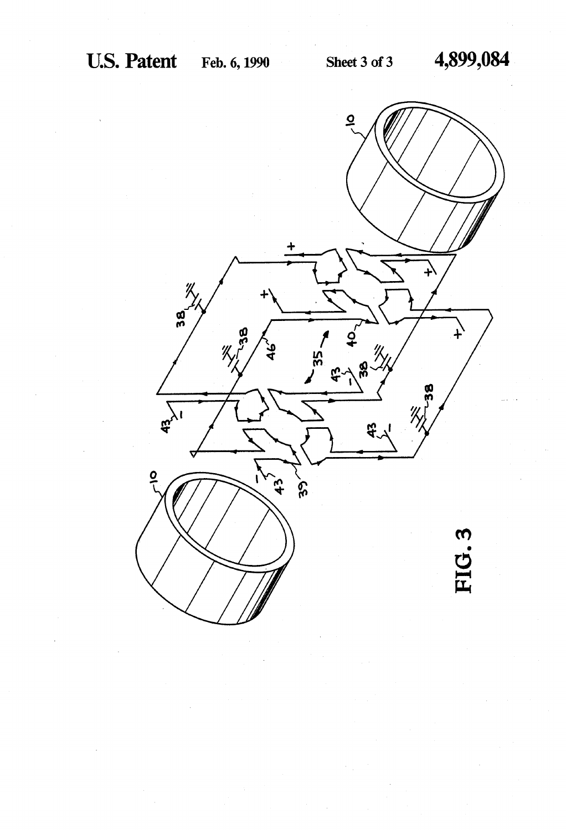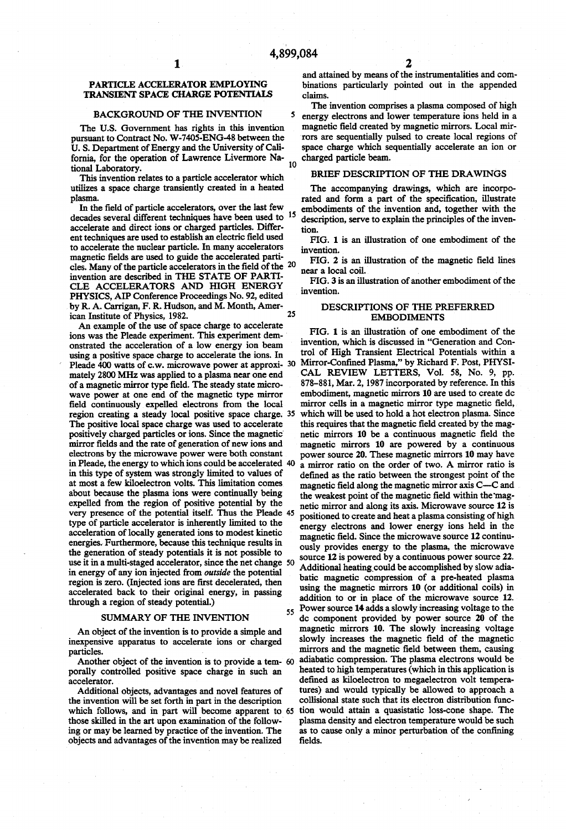5

### PARTICLE ACCELERATOR EMPLOYING TRANSIENT SPACE CHARGE POTENTIALS

#### BACKGROUND OF THE INVENTION

The US. Government has rights in this invention pursuant to Contract No. W-7405-ENG-48 between the U. S. Department of Energy and the University of Cali fornia, for the operation of Lawrence Livermore Na tional Laboratory.

This invention relates to a particle accelerator which utilizes a space charge transiently created in a heated plasma.

In the field of particle accelerators, over the last few decades several different techniques have been used to <sup>15</sup> accelerate and direct ions or charged particles. Differ ent techniques are used to establish an electric field used to accelerate the nuclear particle. In many accelerators magnetic fields are used to guide the accelerated particles. Many of the particle accelerators in the field of the  $20$ invention are described in THE STATE OF PARTI CLE ACCELERATORS AND HIGH ENERGY<br>PHYSICS, AIP Conference Proceedings No. 92, edited by R. A. Carrigan, F. R. Hudson, and M. Month, American Institute of Physics, 1982. 25

An example of the use of space charge to accelerate ions was the Pleade experiment. This experiment demonstrated the acceleration of a low energy ion beam using a positive space charge to accelerate the ions. In Pleade 400 watts of c.w. microwave power at approxi- 30 mately 2800 MHz was applied to a plasma near one end<br>of a magnetic mirror type field. The steady state microwave power at one end of the magnetic type mirror field continuously expelled electrons from the local region creating a steady local positive space charge. 35 The positive local space charge was used to accelerate positively charged particles or ions. Since the magnetic' mirror fields and the rate of generation of new ions and electrons by the microwave power were both constant in Pleade, the energy to which ions could be accelerated 40 in this type of system was strongly limited to values of at most a few kiloelectron volts. This limitation comes about because the plasma ions were continually being expelled from the region of positive potential by the very presence of the potential itself. Thus the Pleade 45 type of particle accelerator is inherently limited to the acceleration of locally generated ions to modest kinetic energies. Furthermore, because this technique results in the generation of steady potentials it is not possible to use it in a multi-staged accelerator, since the net change 50 in energy of any ion injected from outside the potential region is zero. (Injected ions are first decelerated, then accelerated back to their original energy, in passing through a region of steady potential.)

### SUMMARY OF THE INVENTION

An object of the invention is to provide a simple and inexpensive apparatus to accelerate ions or charged particles.

Another object of the invention is to provide a tem-60 porally controlled positive space charge in such an accelerator.

Additional objects, advantages and novel features of the invention will be set forth in part in the description which follows, and in part will become apparent to 65 those skilled in the art upon examination of the following or may be learned by practice of the invention. The objects and advantages of the invention may be realized

and attained by means of the instrumentalities and com binations particularly pointed out in the appended claims.

The invention comprises a plasma composed of high energy electrons and lower temperature ions held in a magnetic field created by magnetic mirrors. Local mirrors are sequentially pulsed to create local regions of space charge which sequentially accelerate an ion or charged particle beam.

#### BRIEF DESCRIPTION OF THE DRAWINGS

The accompanying drawings, which are incorpo rated and form a part of the specification, illustrate embodiments of the invention and, together with the description, serve to explain the principles of the inven tion.

FIG. 1 is an illustration of one embodiment of the invention.

FIG. 2 is an illustration of the magnetic field lines near a local coil.

FIG. 3 is an illustration of another embodiment of the invention.

### DESCRIPTIONS OF THE PREFERRED EMBODIMENTS

55 FIG. 1 is an illustration of one embodiment of the invention, which is discussed in "Generation and Con trol of High Transient Electrical Potentials within a Mirror-Confined Plasma," by Richard F. Post, PHYSI-CAL REVIEW LETTERS, Vol. 58, No. 9, pp. 878-881, Mar. 2, 1987 incorporated by reference. In this embodiment, magnetic mirrors 10 are used to create dc mirror cells in a magnetic mirror type magnetic field, which will be used to hold a hot electron plasma. Since this requires that the magnetic field created by the magnetic mirrors 10 be a continuous magnetic field the magnetic mirrors 10 are powered by a continuous power source 20. These magnetic mirrors 10 may have a mirror ratio on the order of two. A mirror ratio is defined as the ratio between the strongest point of the magnetic field along the magnetic mirror axis C-C and the weakest point of the magnetic field within the magnetic mirror and along its axis. Microwave source 12 is positioned to create and heat a plasma consisting of high energy electrons and lower energy ions held in the magnetic field. Since the microwave source 12 continuously provides energy to the plasma, the microwave source 12 is powered by a continuous power source 22. Additional heating could be accomplished by slow adiabatic magnetic compression of a pre-heated plasma using the magnetic mirrors 10 (or additional coils) in addition to or in place of the microwave source 12. Power source 14 adds a slowly increasing voltage to the dc component provided by power source 20 of the magnetic mirrors 10. The slowly increasing voltage slowly increases the magnetic field of the magnetic mirrors and the magnetic field between them, causing adiabatic compression. The plasma electrons would be heated to high temperatures (which in this application is defined as kiloelectron to megaelectron volt tempera-<br>tures) and would typically be allowed to approach a collisional state such that its electron distribution function would attain a quasistatic loss-cone shape. The as to cause only a minor perturbation of the confining fields.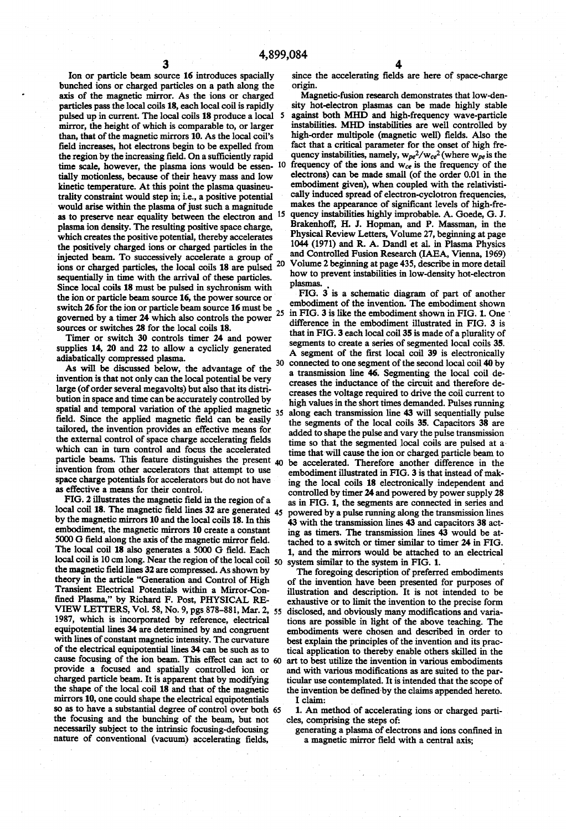Ion or particle beam source 16 introduces spacially bunched ions or charged particles on a path along the axis of the magnetic mirror. As the ions or charged particles pass the local coils 18, each local coil is rapidly pulsed up in current. The local coils 18 produce a local 5 mirror, the height of which is comparable to, or larger than, that of the magnetic mirrors 10. As the local coil's field increases, hot electrons begin to be expelled from the region by the increasing field. On a sufficiently rapid time scale, however, the plasma jons would be essen-  $10$ time scale, however, the plasma ions would be essen tially motionless, because of their heavy mass and low kinetic temperature. At this point the plasma quasineu trality constraint would step in; i.e., a positive potential would arise within the plasma of just such a magnitude as to preserve near equality between the electron and <sup>15</sup> plasma ion density. The resulting positive space charge, which creates the positive potential, thereby accelerates the positively charged ions or charged particles in the injected beam. To successively accelerate a group of ions or charged particles, the local coils 18 are pulsed 20 sequentially in time with the arrival of these particles. Since local coils 18 must be pulsed in sychronism with the ion or particle beam source 16, the power source or switch 26 for the ion or particle beam source  $16$  must be  $25$ <br>securently by a times  $24$  which also controls the names governed by a timer 24 which also controls the power sources or switches 28 for the local coils 18.

Timer or switch 30 controls timer 24 and power supplies 14, 20 and 22 to allow a cyclicly generated adiabatically compressed plasma.

As will be discussed below, the advantage of the invention is that not only can the local potential be very large (of order several megavolts) but also that its distri bution in space and time can be accurately controlled by spatial and temporal variation of the applied magnetic  $_{35}$ field. Since the applied magnetic field can be easily tailored, the invention provides an effective means for the external control of space charge accelerating fields which can in turn control and focus the accelerated particle beams. This feature distinguishes the present 40 invention from other accelerators that attempt to use space charge potentials for accelerators but do not have as effective a means for their control.'

FIG. 2 illustrates the magnetic field in the region of a local coil 18. The magnetic field lines  $32$  are generated  $_{45}$ by the magnetic mirrors 10 and the local coils 18. In this embodiment, the magnetic mirrors 10 create a constant 5000 G field along the axis of the magnetic mirror field. The local coil 18 also generates a 5000 G field. Each local coil is 10 cm long. Near the region of the local coil  $\zeta_0$ the magnetic field lines 32 are compressed. As shown by theory in the article "Generation and Control of High Transient Electrical Potentials within a Mirror-Con fined Plasma," by Richard F. Post, PHYSICAL RE-VIEW LETTERS, Vol. 58, No. 9, pgs 878-881, Mar. 2, 55 1987, which is incorporated by reference, electrical equipotential lines 34 are determined by and congruent with lines of constant magnetic intensity. The curvature of the electrical equipotential lines 34 can be such as to cause focusing of the ion beam. This effect can act to provide a focused and spatially controlled ion or charged particle beam. It is apparent that by modifying the shape of the local coil 18 and that of the magnetic mirrors 10, one could shape the electrical equipotentials mirrors 10, one could shape the electrical equipotentials so as to have a substantial degree of control over both 65 the focusing and the bunching of the beam, but not necessarily subject to the intrinsic focusing-defocusing nature of conventional (vacuum) accelerating fields,

since the accelerating fields are here of space-charge origin.

Magnetic-fusion research demonstrates that low-den sity hot-electron plasmas can be made highly stable against both MHD and high-frequency wave-particle instabilities. MHD instabilities are well controlled by high-order multipole (magnetic well) fields. Also the fact that a critical parameter for the onset of high fre quency instabilities, namely,  $w_{pe}^2/w_{ce}^2$  (where  $w_{pe}$  is the frequency of the ions and  $w_{ce}$  is the frequency of the electrons) can be made small (of the order 0.01 in the embodiment given), when coupled with the relativisti cally induced spread of electron-cyclotron frequencies, makes the appearance of significant levels of high-frequency instabilities highly improbable. A. Goede, G. J. Brakenhoff, H. J. Hopman, and P. Massman, in the Physical Review Letters, Volume 27, beginning at page 1044 (1971) and R. A. Dandl et al. in Plasma Physics and Controlled Fusion Research (IAEA, Vienna, 1969) Volume 2 beginning at page 435, describe in more detail how to prevent instabilities in low-density hot-electron plasmas. \_

30 FIG. 3 is a schematic diagram of part of another embodiment of the invention. The embodiment shown in FIG. 3 is like the embodiment shown in FIG. 1. One difference in the embodiment illustrated in FIG. 3 is that in FIG. 3 each local coil 35 is made of a plurality of segments to create a series of segmented local coils 35. A segment of the first local coil 39 is electronically connected to one segment of the second local coil 40 by a transmission line 46. Segmenting the local coil de creases the inductance of the circuit and therefore de creases the voltage required to drive the coil current to high values in the short times demanded. Pulses running along each transmission line 43 will sequentially pulse the segments of the local coils 35. Capacitors 38 are added to shape the pulse and vary the pulse transmission time so that the segmented local coils are pulsed at a' time that will cause the ion or charged particle beam to be accelerated. Therefore another difference in the embodiment illustrated in FIG. 3 is that instead of mak ing the local coils 18 electronically independent and controlled by timer 24 and powered by power supply 28 as in FIG. 1, the segments are connected in series and powered by a pulse running along the transmission lines 43 with the transmission lines 43 and capacitors 38 act ing as timers. The transmission lines 43 would be at tached to a switch or timer similar to timer 24 in FIG. 1, and the mirrors would be attached to an electrical system similar to the system in FIG. 1.

The foregoing description of preferred embodiments of the invention have been presented for purposes of illustration and description. It is not intended to be exhaustive or to limit the invention to the precise form disclosed, and obviously many modifications and variations are possible in light of the above teaching. The embodiments were chosen and described in order to best explain the principles of the invention and its prac tical application to thereby enable others skilled in the art to best utilize the invention in various embodiments and with various modifications as are suited to the particular use contemplated. It is intended that the scope of the invention be defined by the claims appended hereto. I claim:

1. An method of accelerating ions or charged parti cles, comprising the steps of:

generating a plasma of electrons and ions confined in a magnetic mirror field with a central axis;